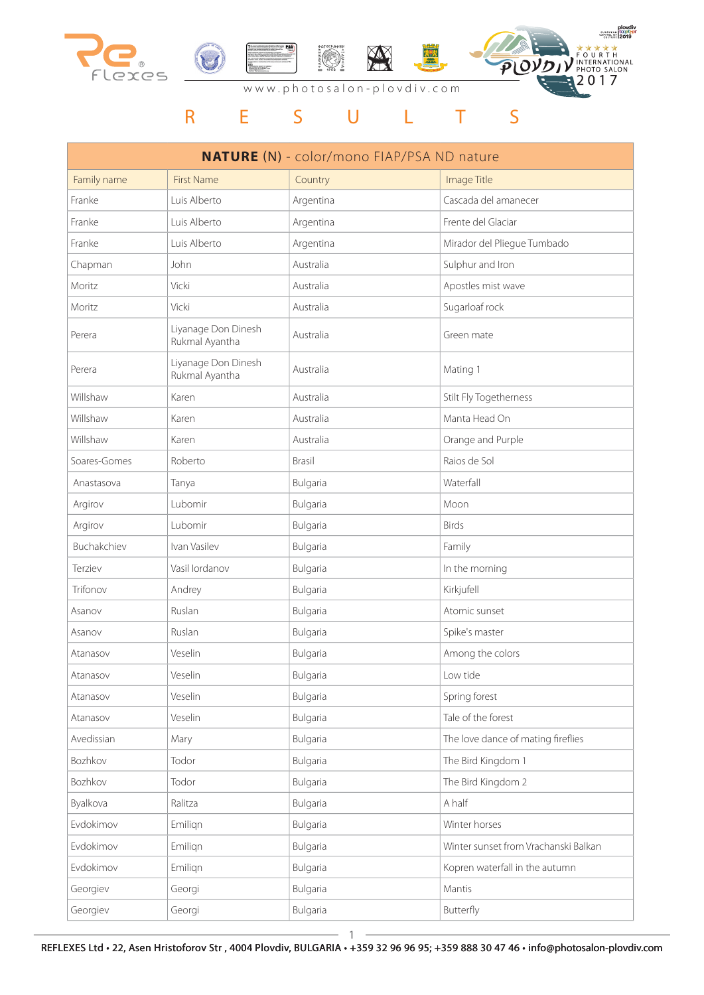

|              |                                       | <b>NATURE (N)</b> - color/mono FIAP/PSA ND nature |                                      |
|--------------|---------------------------------------|---------------------------------------------------|--------------------------------------|
| Family name  | <b>First Name</b>                     | Country                                           | Image Title                          |
| Franke       | Luis Alberto                          | Argentina                                         | Cascada del amanecer                 |
| Franke       | Luis Alberto                          | Argentina                                         | Frente del Glaciar                   |
| Franke       | Luis Alberto                          | Argentina                                         | Mirador del Pliegue Tumbado          |
| Chapman      | John                                  | Australia                                         | Sulphur and Iron                     |
| Moritz       | Vicki                                 | Australia                                         | Apostles mist wave                   |
| Moritz       | Vicki                                 | Australia                                         | Sugarloaf rock                       |
| Perera       | Liyanage Don Dinesh<br>Rukmal Ayantha | Australia                                         | Green mate                           |
| Perera       | Liyanage Don Dinesh<br>Rukmal Ayantha | Australia                                         | Mating 1                             |
| Willshaw     | Karen                                 | Australia                                         | Stilt Fly Togetherness               |
| Willshaw     | Karen                                 | Australia                                         | Manta Head On                        |
| Willshaw     | Karen                                 | Australia                                         | Orange and Purple                    |
| Soares-Gomes | Roberto                               | Brasil                                            | Raios de Sol                         |
| Anastasova   | Tanya                                 | Bulgaria                                          | Waterfall                            |
| Argirov      | Lubomir                               | Bulgaria                                          | Moon                                 |
| Argirov      | Lubomir                               | Bulgaria                                          | <b>Birds</b>                         |
| Buchakchiev  | Ivan Vasilev                          | Bulgaria                                          | Family                               |
| Terziev      | Vasil lordanov                        | Bulgaria                                          | In the morning                       |
| Trifonov     | Andrey                                | Bulgaria                                          | Kirkjufell                           |
| Asanov       | Ruslan                                | Bulgaria                                          | Atomic sunset                        |
| Asanov       | Ruslan                                | Bulgaria                                          | Spike's master                       |
| Atanasov     | Veselin                               | Bulgaria                                          | Among the colors                     |
| Atanasov     | Veselin                               | Bulgaria                                          | Low tide                             |
| Atanasov     | Veselin                               | Bulgaria                                          | Spring forest                        |
| Atanasov     | Veselin                               | Bulgaria                                          | Tale of the forest                   |
| Avedissian   | Mary                                  | Bulgaria                                          | The love dance of mating fireflies   |
| Bozhkov      | Todor                                 | Bulgaria                                          | The Bird Kingdom 1                   |
| Bozhkov      | Todor                                 | Bulgaria                                          | The Bird Kingdom 2                   |
| Byalkova     | Ralitza                               | Bulgaria                                          | A half                               |
| Evdokimov    | Emilign                               | Bulgaria                                          | Winter horses                        |
| Evdokimov    | Emilign                               | Bulgaria                                          | Winter sunset from Vrachanski Balkan |
| Evdokimov    | Emilign                               | Bulgaria                                          | Kopren waterfall in the autumn       |
| Georgiev     | Georgi                                | Bulgaria                                          | Mantis                               |
| Georgiev     | Georgi                                | Bulgaria                                          | Butterfly                            |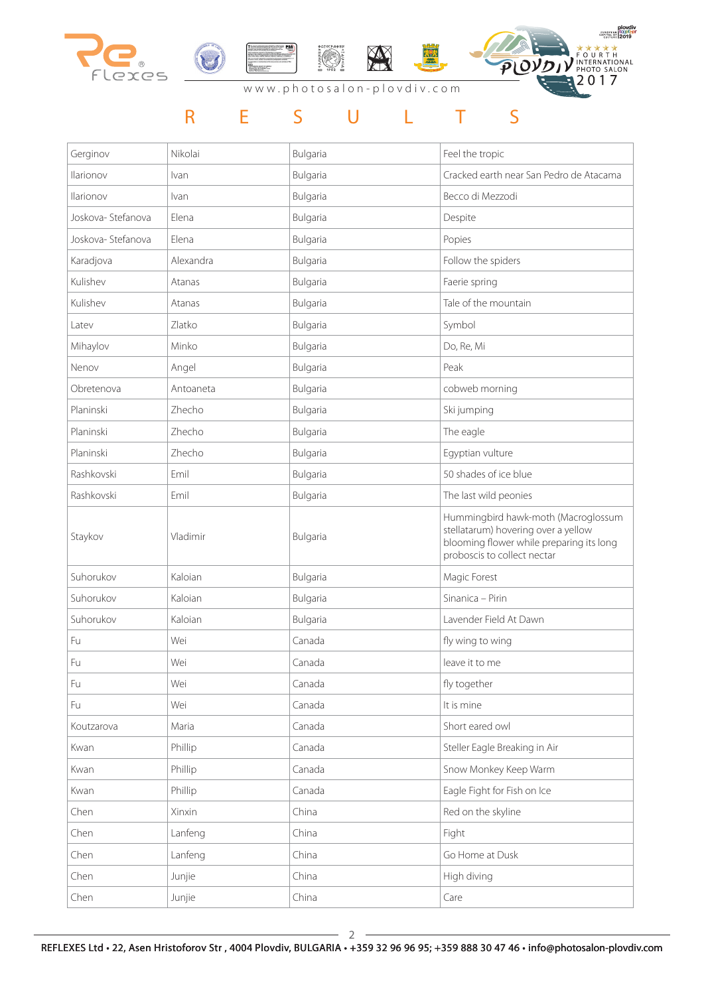

# R E S U L T S

| Gerginov          | Nikolai   | Bulgaria | Feel the tropic                                                                                                                                       |
|-------------------|-----------|----------|-------------------------------------------------------------------------------------------------------------------------------------------------------|
| Ilarionov         | Ivan      | Bulgaria | Cracked earth near San Pedro de Atacama                                                                                                               |
| Ilarionov         | Ivan      | Bulgaria | Becco di Mezzodi                                                                                                                                      |
| Joskova-Stefanova | Elena     | Bulgaria | Despite                                                                                                                                               |
| Joskova-Stefanova | Elena     | Bulgaria | Popies                                                                                                                                                |
| Karadjova         | Alexandra | Bulgaria | Follow the spiders                                                                                                                                    |
| Kulishev          | Atanas    | Bulgaria | Faerie spring                                                                                                                                         |
| Kulishev          | Atanas    | Bulgaria | Tale of the mountain                                                                                                                                  |
| Latev             | Zlatko    | Bulgaria | Symbol                                                                                                                                                |
| Mihaylov          | Minko     | Bulgaria | Do, Re, Mi                                                                                                                                            |
| Nenov             | Angel     | Bulgaria | Peak                                                                                                                                                  |
| Obretenova        | Antoaneta | Bulgaria | cobweb morning                                                                                                                                        |
| Planinski         | Zhecho    | Bulgaria | Ski jumping                                                                                                                                           |
| Planinski         | Zhecho    | Bulgaria | The eagle                                                                                                                                             |
| Planinski         | Zhecho    | Bulgaria | Egyptian vulture                                                                                                                                      |
| Rashkovski        | Emil      | Bulgaria | 50 shades of ice blue                                                                                                                                 |
| Rashkovski        | Emil      | Bulgaria | The last wild peonies                                                                                                                                 |
| Staykov           | Vladimir  | Bulgaria | Hummingbird hawk-moth (Macroglossum<br>stellatarum) hovering over a yellow<br>blooming flower while preparing its long<br>proboscis to collect nectar |
| Suhorukov         | Kaloian   | Bulgaria | Magic Forest                                                                                                                                          |
| Suhorukov         | Kaloian   | Bulgaria | Sinanica - Pirin                                                                                                                                      |
| Suhorukov         | Kaloian   | Bulgaria | Lavender Field At Dawn                                                                                                                                |
| Fu                | Wei       | Canada   | fly wing to wing                                                                                                                                      |
| Fu                | Wei       | Canada   | leave it to me                                                                                                                                        |
| Fu                | Wei       | Canada   | fly together                                                                                                                                          |
| Fu                | Wei       | Canada   | It is mine                                                                                                                                            |
| Koutzarova        | Maria     | Canada   | Short eared owl                                                                                                                                       |
| Kwan              | Phillip   | Canada   | Steller Eagle Breaking in Air                                                                                                                         |
| Kwan              | Phillip   | Canada   | Snow Monkey Keep Warm                                                                                                                                 |
| Kwan              | Phillip   | Canada   | Eagle Fight for Fish on Ice                                                                                                                           |
| Chen              | Xinxin    | China    | Red on the skyline                                                                                                                                    |
| Chen              | Lanfeng   | China    | Fight                                                                                                                                                 |
| Chen              | Lanfeng   | China    | Go Home at Dusk                                                                                                                                       |
| Chen              | Junjie    | China    | High diving                                                                                                                                           |
| Chen              | Junjie    | China    | Care                                                                                                                                                  |

 $\overline{\phantom{a}}$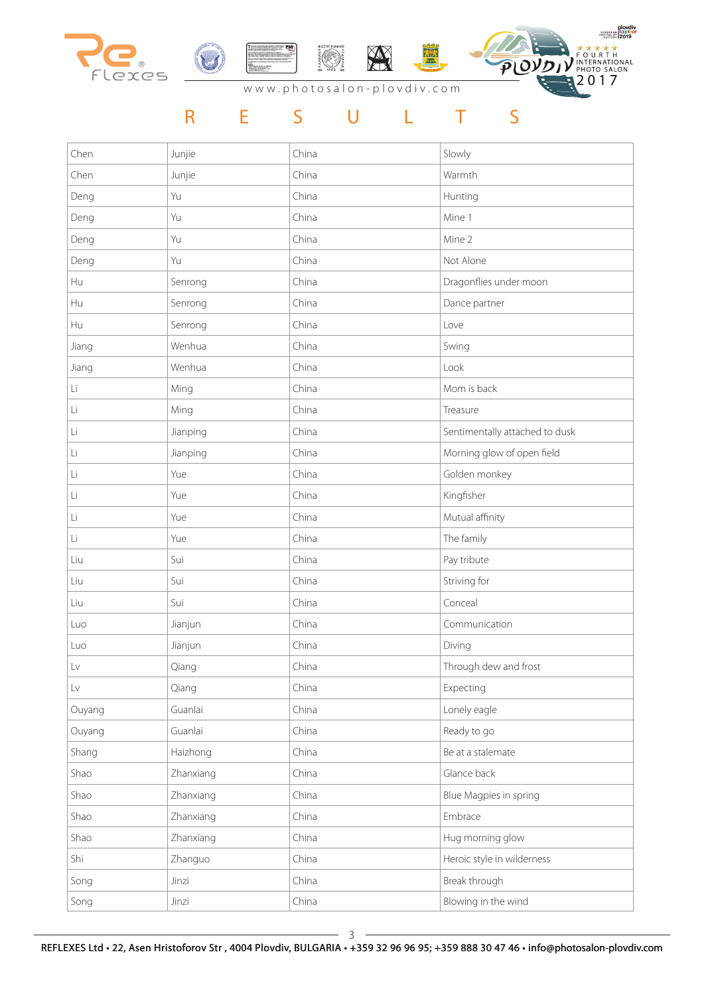

| Chen   | Junjie    | China | Slowly                         |
|--------|-----------|-------|--------------------------------|
| Chen   | Junjie    | China | Warmth                         |
| Deng   | Yu        | China | Hunting                        |
| Deng   | Yu        | China | Mine 1                         |
| Deng   | Yu        | China | Mine 2                         |
| Deng   | Yu        | China | Not Alone                      |
| Hu     | Senrong   | China | Dragonflies under moon         |
| Hu     | Senrong   | China | Dance partner                  |
| Hu     | Senrong   | China | Love                           |
| Jiang  | Wenhua    | China | Swing                          |
| Jiang  | Wenhua    | China | Look                           |
| Li     | Ming      | China | Mom is back                    |
| Li     | Ming      | China | Treasure                       |
| Li     | Jianping  | China | Sentimentally attached to dusk |
| Li     | Jianping  | China | Morning glow of open field     |
| Li     | Yue       | China | Golden monkey                  |
| Li     | Yue       | China | Kingfisher                     |
| Li     | Yue       | China | Mutual affinity                |
|        |           |       |                                |
| Li     | Yue       | China | The family                     |
| Liu    | Sui       | China | Pay tribute                    |
| Liu    | Sui       | China | Striving for                   |
| Liu    | Sui       | China | Conceal                        |
| Luo    | Jianjun   | China | Communication                  |
| Luo    | Jianjun   | China | Diving                         |
| Lv     | Qiang     | China | Through dew and frost          |
| Lv     | Qiang     | China | Expecting                      |
| Ouyang | Guanlai   | China | Lonely eagle                   |
| Ouyang | Guanlai   | China | Ready to go                    |
| Shang  | Haizhong  | China | Be at a stalemate              |
| Shao   | Zhanxiang | China | Glance back                    |
| Shao   | Zhanxiang | China | Blue Magpies in spring         |
| Shao   | Zhanxiang | China | Embrace                        |
| Shao   | Zhanxiang | China | Hug morning glow               |
| Shi    | Zhanguo   | China | Heroic style in wilderness     |
| Song   | Jinzi     | China | Break through                  |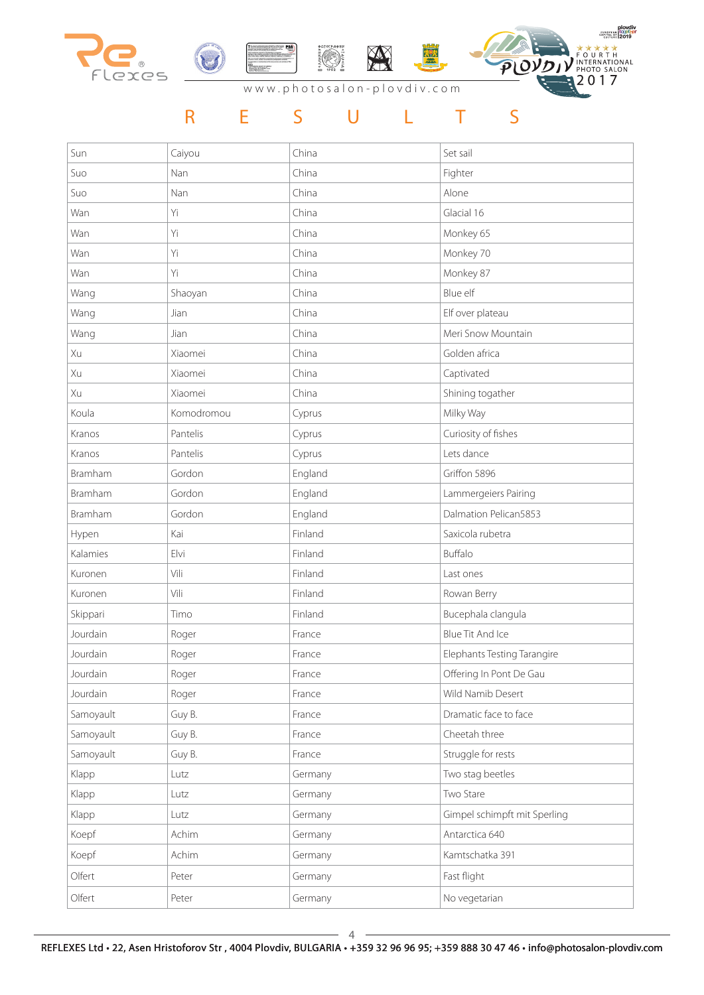

| Sun       | Caiyou     | China   | Set sail                     |
|-----------|------------|---------|------------------------------|
| Suo       | Nan        | China   | Fighter                      |
| Suo       | Nan        | China   | Alone                        |
| Wan       | Yi         | China   | Glacial 16                   |
| Wan       | Yi         | China   | Monkey 65                    |
| Wan       | Yi         | China   | Monkey 70                    |
| Wan       | Yi         | China   | Monkey 87                    |
| Wang      | Shaoyan    | China   | Blue elf                     |
| Wang      | Jian       | China   | Elf over plateau             |
| Wang      | Jian       | China   | Meri Snow Mountain           |
| Xu        | Xiaomei    | China   | Golden africa                |
| Xu        | Xiaomei    | China   | Captivated                   |
| Xu        | Xiaomei    | China   | Shining togather             |
| Koula     | Komodromou | Cyprus  | Milky Way                    |
| Kranos    | Pantelis   | Cyprus  | Curiosity of fishes          |
| Kranos    | Pantelis   | Cyprus  | Lets dance                   |
| Bramham   | Gordon     | England | Griffon 5896                 |
| Bramham   | Gordon     | England | Lammergeiers Pairing         |
| Bramham   | Gordon     | England | Dalmation Pelican5853        |
| Hypen     | Kai        | Finland | Saxicola rubetra             |
| Kalamies  | Elvi       | Finland | Buffalo                      |
| Kuronen   | Vili       | Finland | Last ones                    |
| Kuronen   | Vili       | Finland | Rowan Berry                  |
| Skippari  | Timo       | Finland | Bucephala clangula           |
| Jourdain  | Roger      | France  | <b>Blue Tit And Ice</b>      |
| Jourdain  | Roger      | France  | Elephants Testing Tarangire  |
| Jourdain  | Roger      | France  | Offering In Pont De Gau      |
| Jourdain  | Roger      | France  | Wild Namib Desert            |
| Samoyault | Guy B.     | France  | Dramatic face to face        |
| Samoyault | Guy B.     | France  | Cheetah three                |
| Samoyault | Guy B.     | France  | Struggle for rests           |
| Klapp     | Lutz       | Germany | Two stag beetles             |
| Klapp     | Lutz       | Germany | Two Stare                    |
| Klapp     | Lutz       | Germany | Gimpel schimpft mit Sperling |
| Koepf     | Achim      | Germany | Antarctica 640               |
| Koepf     | Achim      | Germany | Kamtschatka 391              |
| Olfert    | Peter      | Germany | Fast flight                  |
| Olfert    | Peter      | Germany | No vegetarian                |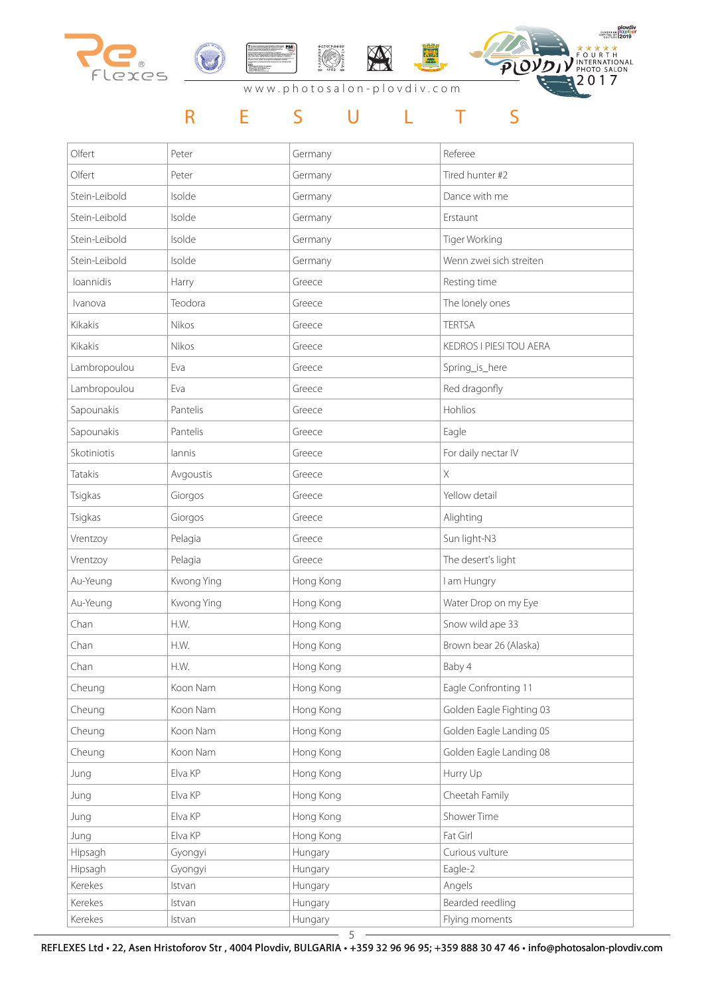

# R E S U L T S

| Olfert        | Peter      | Germany   | Referee                  |
|---------------|------------|-----------|--------------------------|
| Olfert        | Peter      | Germany   | Tired hunter #2          |
| Stein-Leibold | Isolde     | Germany   | Dance with me            |
| Stein-Leibold | Isolde     | Germany   | Erstaunt                 |
| Stein-Leibold | Isolde     | Germany   | Tiger Working            |
| Stein-Leibold | Isolde     | Germany   | Wenn zwei sich streiten  |
| loannidis     | Harry      | Greece    | Resting time             |
| Ivanova       | Teodora    | Greece    | The lonely ones          |
| Kikakis       | Nikos      | Greece    | <b>TERTSA</b>            |
| Kikakis       | Nikos      | Greece    | KEDROS I PIESI TOU AERA  |
| Lambropoulou  | Eva        | Greece    | Spring_is_here           |
| Lambropoulou  | Eva        | Greece    | Red dragonfly            |
| Sapounakis    | Pantelis   | Greece    | Hohlios                  |
| Sapounakis    | Pantelis   | Greece    | Eagle                    |
| Skotiniotis   | lannis     | Greece    | For daily nectar IV      |
| Tatakis       | Avgoustis  | Greece    | $\overline{X}$           |
| Tsigkas       | Giorgos    | Greece    | Yellow detail            |
| Tsigkas       | Giorgos    | Greece    | Alighting                |
| Vrentzoy      | Pelagia    | Greece    | Sun light-N3             |
| Vrentzoy      | Pelagia    | Greece    | The desert's light       |
| Au-Yeung      | Kwong Ying | Hong Kong | I am Hungry              |
| Au-Yeung      | Kwong Ying | Hong Kong | Water Drop on my Eye     |
| Chan          | H.W.       | Hong Kong | Snow wild ape 33         |
| Chan          | H.W.       | Hong Kong | Brown bear 26 (Alaska)   |
| Chan          | H.W.       | Hong Kong | Baby 4                   |
| Cheung        | Koon Nam   | Hong Kong | Eagle Confronting 11     |
| Cheung        | Koon Nam   | Hong Kong | Golden Eagle Fighting 03 |
| Cheung        | Koon Nam   | Hong Kong | Golden Eagle Landing 05  |
| Cheung        | Koon Nam   | Hong Kong | Golden Eagle Landing 08  |
| Jung          | Elva KP    | Hong Kong | Hurry Up                 |
| Jung          | Elva KP    | Hong Kong | Cheetah Family           |
| Jung          | Elva KP    | Hong Kong | Shower Time              |
| Jung          | Elva KP    | Hong Kong | Fat Girl                 |
| Hipsagh       | Gyongyi    | Hungary   | Curious vulture          |
| Hipsagh       | Gyongyi    | Hungary   | Eagle-2                  |
| Kerekes       | Istvan     | Hungary   | Angels                   |
| Kerekes       | Istvan     | Hungary   | Bearded reedling         |
| Kerekes       | Istvan     | Hungary   | Flying moments           |

REFLEXES Ltd • 22, Asen Hristoforov Str , 4004 Plovdiv, BULGARIA • +359 32 96 96 95; +359 888 30 47 46 • info@photosalon-plovdiv.com  $-5-$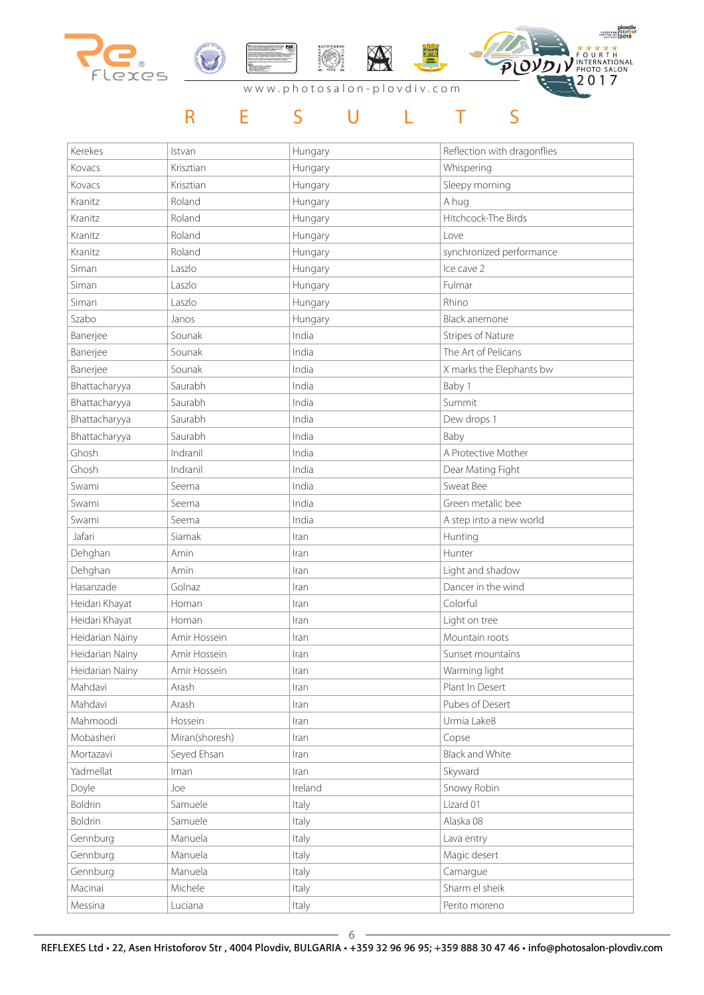

| Kerekes         | Istvan         | Hungary | Reflection with dragonflies |
|-----------------|----------------|---------|-----------------------------|
| Kovacs          | Krisztian      | Hungary | Whispering                  |
| Kovacs          | Krisztian      | Hungary | Sleepy morning              |
| Kranitz         | Roland         | Hungary | A hug                       |
| Kranitz         | Roland         | Hungary | Hitchcock-The Birds         |
| Kranitz         | Roland         | Hungary | Love                        |
| Kranitz         | Roland         | Hungary | synchronized performance    |
| Siman           | Laszlo         | Hungary | Ice cave 2                  |
| Siman           | Laszlo         | Hungary | Fulmar                      |
| Siman           | Laszlo         | Hungary | Rhino                       |
| Szabo           | Janos          | Hungary | Black anemone               |
| Banerjee        | Sounak         | India   | <b>Stripes of Nature</b>    |
| Banerjee        | Sounak         | India   | The Art of Pelicans         |
| Banerjee        | Sounak         | India   | X marks the Elephants bw    |
| Bhattacharyya   | Saurabh        | India   | Baby 1                      |
| Bhattacharyya   | Saurabh        | India   | Summit                      |
| Bhattacharyya   | Saurabh        | India   | Dew drops 1                 |
| Bhattacharyya   | Saurabh        | India   | Baby                        |
| Ghosh           | Indranil       | India   | A Protective Mother         |
| Ghosh           | Indranil       | India   | Dear Mating Fight           |
| Swami           | Seema          | India   | Sweat Bee                   |
| Swami           | Seema          | India   | Green metalic bee           |
| Swami           | Seema          | India   | A step into a new world     |
| Jafari          | Siamak         | Iran    | Hunting                     |
| Dehghan         | Amin           | Iran    | Hunter                      |
| Dehghan         | Amin           | Iran    | Light and shadow            |
| Hasanzade       | Golnaz         | Iran    | Dancer in the wind          |
| Heidari Khayat  | Homan          | Iran    | Colorful                    |
| Heidari Khayat  | Homan          | Iran    | Light on tree               |
| Heidarian Nainy | Amir Hossein   | Iran    | Mountain roots              |
| Heidarian Nainy | Amir Hossein   | Iran    | Sunset mountains            |
| Heidarian Nainy | Amir Hossein   | Iran    | Warming light               |
| Mahdavi         | Arash          | Iran    | Plant In Desert             |
| Mahdavi         | Arash          | Iran    | Pubes of Desert             |
| Mahmoodi        | Hossein        | Iran    | Urmia Lake8                 |
| Mobasheri       | Miran(shoresh) | Iran    | Copse                       |
| Mortazavi       | Seyed Ehsan    | Iran    | <b>Black and White</b>      |
| Yadmellat       | Iman           | Iran    | Skyward                     |
| Doyle           | Joe            | Ireland | Snowy Robin                 |
| Boldrin         | Samuele        | Italy   | Lizard 01                   |
| <b>Boldrin</b>  | Samuele        | Italy   | Alaska 08                   |
| Gennburg        | Manuela        | Italy   | Lava entry                  |
| Gennburg        | Manuela        | Italy   | Magic desert                |
| Gennburg        | Manuela        | Italy   | Camargue                    |
| Macinai         | Michele        | Italy   | Sharm el sheik              |
| Messina         | Luciana        | Italy   | Perito moreno               |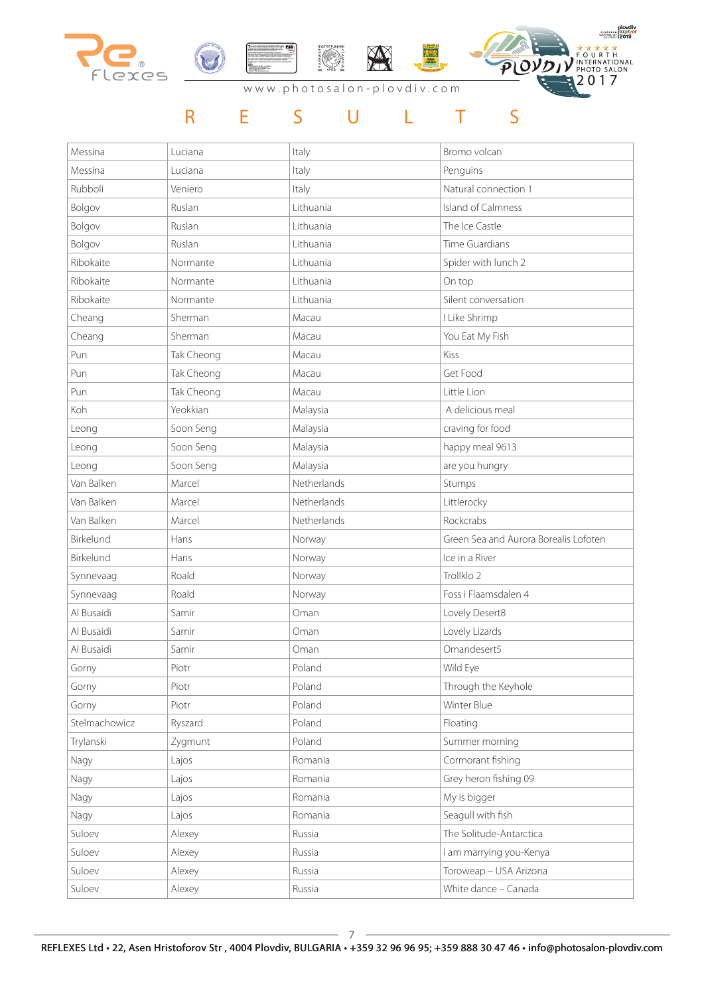

| Messina       | Luciana    | Italy       | Bromo volcan                          |
|---------------|------------|-------------|---------------------------------------|
| Messina       | Luciana    | Italy       | Penguins                              |
| Rubboli       | Veniero    | Italy       | Natural connection 1                  |
| Bolgov        | Ruslan     | Lithuania   | Island of Calmness                    |
| Bolgov        | Ruslan     | Lithuania   | The Ice Castle                        |
| Bolgov        | Ruslan     | Lithuania   | Time Guardians                        |
| Ribokaite     | Normante   | Lithuania   | Spider with lunch 2                   |
| Ribokaite     | Normante   | Lithuania   | On top                                |
| Ribokaite     | Normante   | Lithuania   | Silent conversation                   |
| Cheang        | Sherman    | Macau       | I Like Shrimp                         |
| Cheang        | Sherman    | Macau       | You Eat My Fish                       |
| Pun           | Tak Cheong | Macau       | Kiss                                  |
| Pun           | Tak Cheong | Macau       | Get Food                              |
| Pun           | Tak Cheong | Macau       | Little Lion                           |
| Koh           | Yeokkian   | Malaysia    | A delicious meal                      |
| Leong         | Soon Seng  | Malaysia    | craving for food                      |
| Leong         | Soon Seng  | Malaysia    | happy meal 9613                       |
| Leong         | Soon Seng  | Malaysia    | are you hungry                        |
| Van Balken    | Marcel     | Netherlands | Stumps                                |
| Van Balken    | Marcel     | Netherlands | Littlerocky                           |
| Van Balken    | Marcel     | Netherlands | Rockcrabs                             |
| Birkelund     | Hans       | Norway      | Green Sea and Aurora Borealis Lofoten |
| Birkelund     | Hans       | Norway      | Ice in a River                        |
| Synnevaag     | Roald      | Norway      | Trollklo 2                            |
| Synnevaag     | Roald      | Norway      | Foss i Flaamsdalen 4                  |
| Al Busaidi    | Samir      | Oman        | Lovely Desert8                        |
| Al Busaidi    | Samir      | Oman        | Lovely Lizards                        |
| Al Busaidi    | Samir      | Oman        | Omandesert5                           |
| Gorny         | Piotr      | Poland      | Wild Eye                              |
| Gorny         | Piotr      | Poland      | Through the Keyhole                   |
| Gorny         | Piotr      | Poland      | Winter Blue                           |
| Stelmachowicz | Ryszard    | Poland      | Floating                              |
| Trylanski     | Zygmunt    | Poland      | Summer morning                        |
| Nagy          | Lajos      | Romania     | Cormorant fishing                     |
| Nagy          | Lajos      | Romania     | Grey heron fishing 09                 |
| Nagy          | Lajos      | Romania     | My is bigger                          |
| Nagy          | Lajos      | Romania     | Seagull with fish                     |
| Suloev        | Alexey     | Russia      | The Solitude-Antarctica               |
| Suloev        | Alexey     | Russia      | I am marrying you-Kenya               |
| Suloev        | Alexey     | Russia      | Toroweap - USA Arizona                |
| Suloev        | Alexey     | Russia      | White dance - Canada                  |